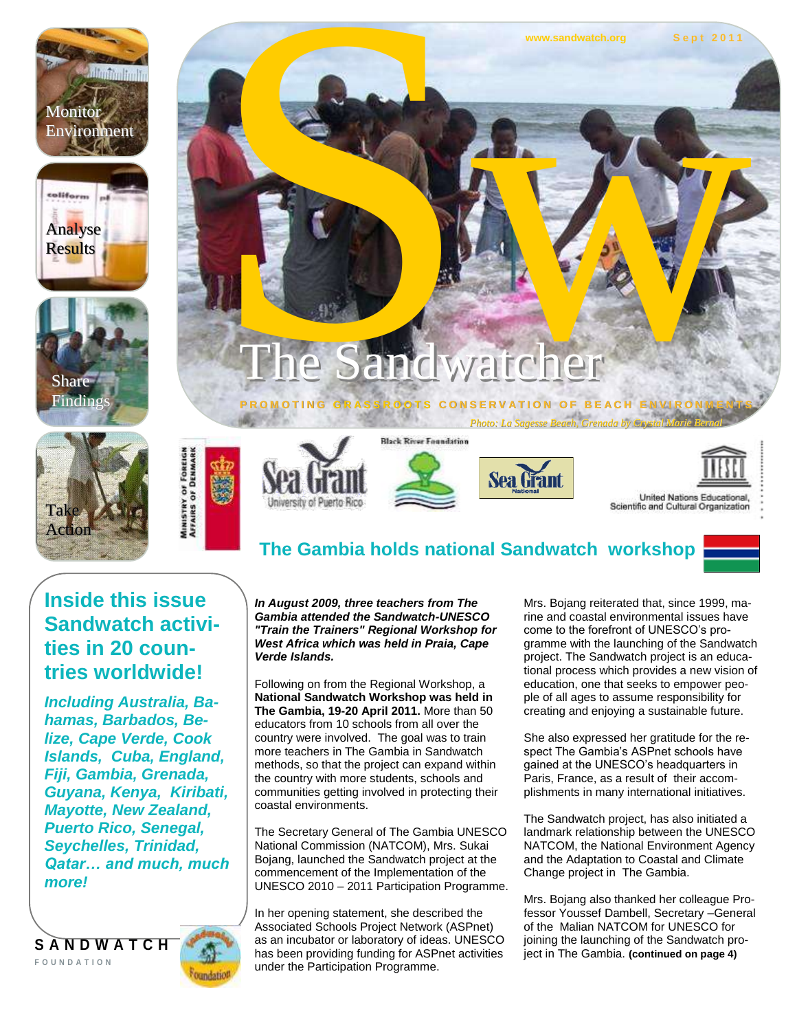www.sandwatch.org **Sept 2011** 











# The Sandw andwatcher WW.Sandwatch.org Sept 2011

#### **P R O M O T I N G GOTS CONSERVATION OF BEACH ENVIRO**

*Photo: La Sagesse Beach, Grenada by Crystal Marie Bernard* **Black River Foundation** 









United Nations Educational, Scientific and Cultural Organization

## **The Gambia holds national Sandwatch workshop**

#### **Inside this issue Sandwatch activities in 20 countries worldwide!**

*Including Australia, Bahamas, Barbados, Belize, Cape Verde, Cook Islands, Cuba, England, Fiji, Gambia, Grenada, Guyana, Kenya, Kiribati, Mayotte, New Zealand, Puerto Rico, Senegal, Seychelles, Trinidad, Qatar… and much, much more!*



*In August 2009, three teachers from The Gambia attended the Sandwatch-UNESCO "Train the Trainers" Regional Workshop for West Africa which was held in Praia, Cape Verde Islands.* 

Following on from the Regional Workshop, a **National Sandwatch Workshop was held in The Gambia, 19-20 April 2011.** More than 50 educators from 10 schools from all over the country were involved. The goal was to train more teachers in The Gambia in Sandwatch methods, so that the project can expand within the country with more students, schools and communities getting involved in protecting their coastal environments.

The Secretary General of The Gambia UNESCO National Commission (NATCOM), Mrs. Sukai Bojang, launched the Sandwatch project at the commencement of the Implementation of the UNESCO 2010 – 2011 Participation Programme.

In her opening statement, she described the Associated Schools Project Network (ASPnet) as an incubator or laboratory of ideas. UNESCO has been providing funding for ASPnet activities under the Participation Programme.

Mrs. Bojang reiterated that, since 1999, marine and coastal environmental issues have come to the forefront of UNESCO's programme with the launching of the Sandwatch project. The Sandwatch project is an educational process which provides a new vision of education, one that seeks to empower people of all ages to assume responsibility for creating and enjoying a sustainable future.

She also expressed her gratitude for the respect The Gambia's ASPnet schools have gained at the UNESCO's headquarters in Paris, France, as a result of their accomplishments in many international initiatives.

The Sandwatch project, has also initiated a landmark relationship between the UNESCO NATCOM, the National Environment Agency and the Adaptation to Coastal and Climate Change project in The Gambia.

Mrs. Bojang also thanked her colleague Professor Youssef Dambell, Secretary –General of the Malian NATCOM for UNESCO for joining the launching of the Sandwatch project in The Gambia. **(continued on page 4)**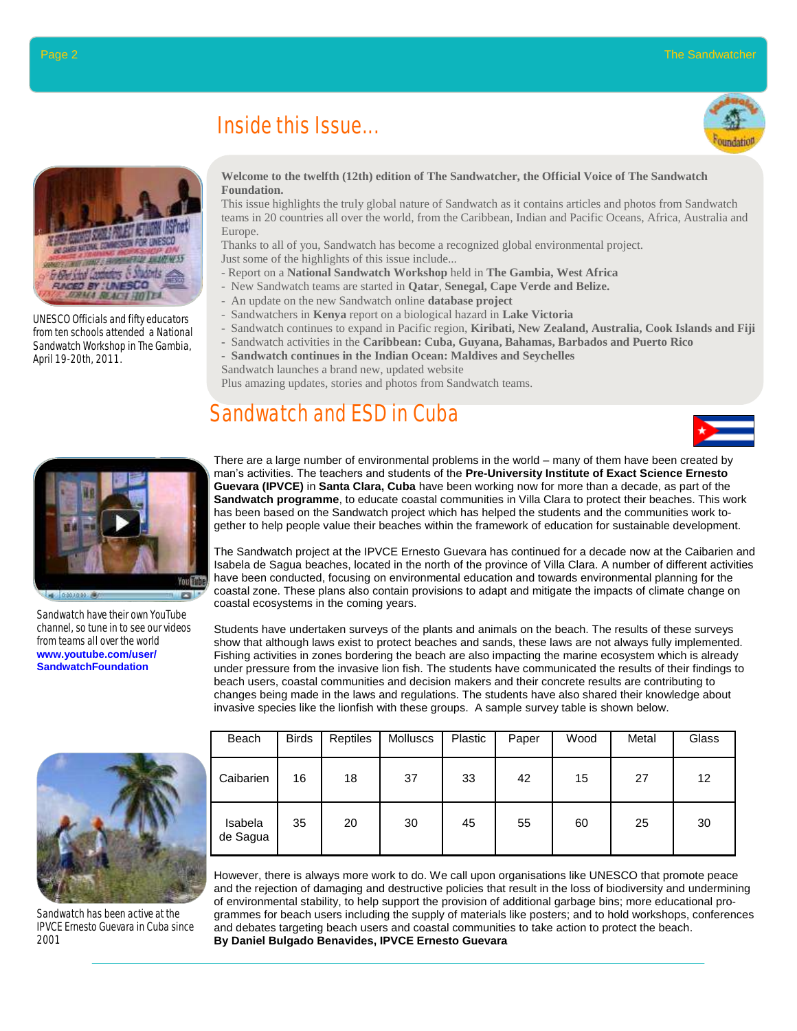### Inside this Issue...





UNESCO Officials and fifty educators from ten schools attended a National Sandwatch Workshop in The Gambia, April 19-20th, 2011.

#### **Welcome to the twelfth (12th) edition of The Sandwatcher, the Official Voice of The Sandwatch Foundation.**

This issue highlights the truly global nature of Sandwatch as it contains articles and photos from Sandwatch teams in 20 countries all over the world, from the Caribbean, Indian and Pacific Oceans, Africa, Australia and Europe.

Thanks to all of you, Sandwatch has become a recognized global environmental project.

Just some of the highlights of this issue include...

- Report on a **National Sandwatch Workshop** held in **The Gambia, West Africa**
- New Sandwatch teams are started in **Qatar**, **Senegal, Cape Verde and Belize.**
- An update on the new Sandwatch online **database project**
- Sandwatchers in **Kenya** report on a biological hazard in **Lake Victoria**
- Sandwatch continues to expand in Pacific region, **Kiribati, New Zealand, Australia, Cook Islands and Fiji**
- Sandwatch activities in the **Caribbean: Cuba, Guyana, Bahamas, Barbados and Puerto Rico**
- **Sandwatch continues in the Indian Ocean: Maldives and Seychelles**

Sandwatch launches a brand new, updated website

Plus amazing updates, stories and photos from Sandwatch teams.

## Sandwatch and ESD in Cuba





Sandwatch have their own YouTube channel, so tune in to see our videos from teams all over the world **www.youtube.com/user/ SandwatchFoundation**



Sandwatch has been active at the IPVCE Ernesto Guevara in Cuba since 2001

| Beach               | <b>Birds</b> | Reptiles | Molluscs | Plastic | Paper | Wood | Metal | Glass |
|---------------------|--------------|----------|----------|---------|-------|------|-------|-------|
| Caibarien           | 16           | 18       | 37       | 33      | 42    | 15   | 27    | 12    |
| Isabela<br>de Sagua | 35           | 20       | 30       | 45      | 55    | 60   | 25    | 30    |

Students have undertaken surveys of the plants and animals on the beach. The results of these surveys show that although laws exist to protect beaches and sands, these laws are not always fully implemented. Fishing activities in zones bordering the beach are also impacting the marine ecosystem which is already under pressure from the invasive lion fish. The students have communicated the results of their findings to beach users, coastal communities and decision makers and their concrete results are contributing to changes being made in the laws and regulations. The students have also shared their knowledge about

invasive species like the lionfish with these groups. A sample survey table is shown below.

However, there is always more work to do. We call upon organisations like UNESCO that promote peace and the rejection of damaging and destructive policies that result in the loss of biodiversity and undermining of environmental stability, to help support the provision of additional garbage bins; more educational programmes for beach users including the supply of materials like posters; and to hold workshops, conferences and debates targeting beach users and coastal communities to take action to protect the beach. **By Daniel Bulgado Benavides, IPVCE Ernesto Guevara**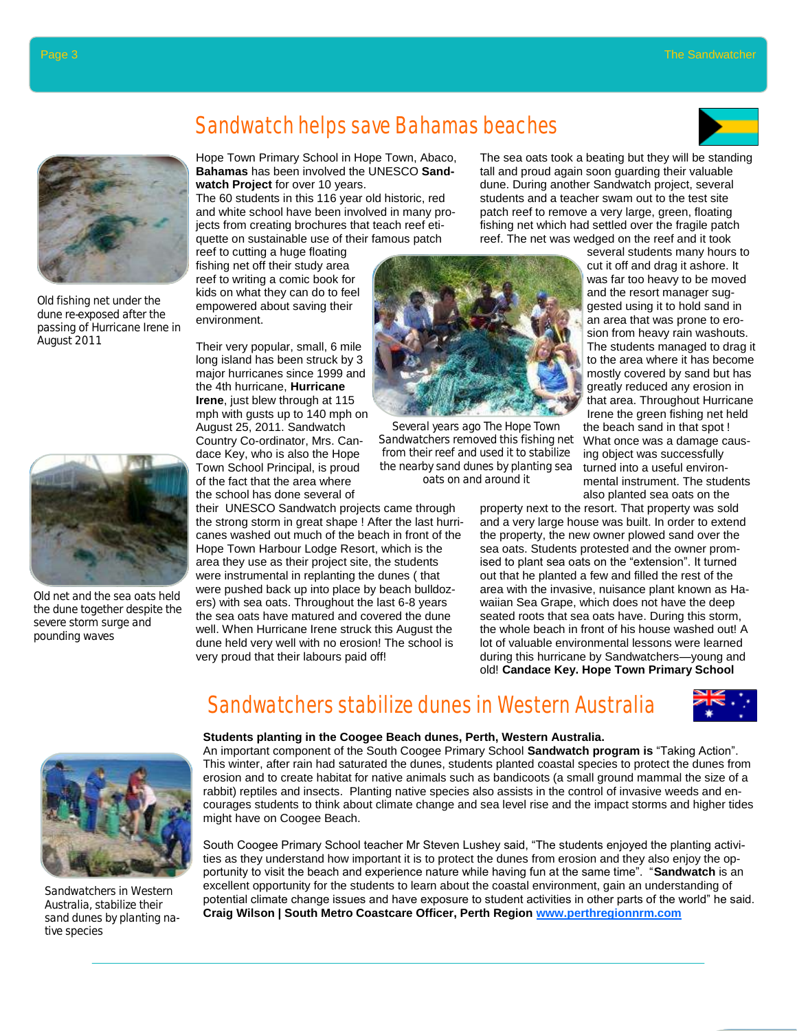



Old fishing net under the dune re-exposed after the passing of Hurricane Irene in August 2011



Old net and the sea oats held the dune together despite the severe storm surge and pounding waves

## Sandwatch helps save Bahamas beaches

Hope Town Primary School in Hope Town, Abaco, **Bahamas** has been involved the UNESCO **Sandwatch Project** for over 10 years.

The 60 students in this 116 year old historic, red and white school have been involved in many projects from creating brochures that teach reef etiquette on sustainable use of their famous patch

reef to cutting a huge floating fishing net off their study area reef to writing a comic book for kids on what they can do to feel empowered about saving their environment.

Their very popular, small, 6 mile long island has been struck by 3 major hurricanes since 1999 and the 4th hurricane, **Hurricane Irene**, just blew through at 115 mph with gusts up to 140 mph on August 25, 2011. Sandwatch Country Co-ordinator, Mrs. Candace Key, who is also the Hope Town School Principal, is proud of the fact that the area where the school has done several of

their UNESCO Sandwatch projects came through the strong storm in great shape ! After the last hurricanes washed out much of the beach in front of the Hope Town Harbour Lodge Resort, which is the area they use as their project site, the students were instrumental in replanting the dunes ( that were pushed back up into place by beach bulldozers) with sea oats. Throughout the last 6-8 years the sea oats have matured and covered the dune well. When Hurricane Irene struck this August the dune held very well with no erosion! The school is very proud that their labours paid off!



Several years ago The Hope Town Sandwatchers removed this fishing net from their reef and used it to stabilize the nearby sand dunes by planting sea oats on and around it

The sea oats took a beating but they will be standing tall and proud again soon guarding their valuable dune. During another Sandwatch project, several students and a teacher swam out to the test site patch reef to remove a very large, green, floating fishing net which had settled over the fragile patch reef. The net was wedged on the reef and it took

> several students many hours to cut it off and drag it ashore. It was far too heavy to be moved and the resort manager suggested using it to hold sand in an area that was prone to erosion from heavy rain washouts. The students managed to drag it to the area where it has become mostly covered by sand but has greatly reduced any erosion in that area. Throughout Hurricane Irene the green fishing net held the beach sand in that spot ! What once was a damage causing object was successfully turned into a useful environmental instrument. The students also planted sea oats on the

property next to the resort. That property was sold and a very large house was built. In order to extend the property, the new owner plowed sand over the sea oats. Students protested and the owner promised to plant sea oats on the "extension". It turned out that he planted a few and filled the rest of the area with the invasive, nuisance plant known as Hawaiian Sea Grape, which does not have the deep seated roots that sea oats have. During this storm, the whole beach in front of his house washed out! A lot of valuable environmental lessons were learned during this hurricane by Sandwatchers—young and old! **Candace Key. Hope Town Primary School**



Sandwatchers in Western Australia, stabilize their sand dunes by planting native species

### Sandwatchers stabilize dunes in Western Australia

#### **Students planting in the Coogee Beach dunes, Perth, Western Australia.**

An important component of the South Coogee Primary School Sandwatch program is "Taking Action". This winter, after rain had saturated the dunes, students planted coastal species to protect the dunes from erosion and to create habitat for native animals such as bandicoots (a small ground mammal the size of a rabbit) reptiles and insects. Planting native species also assists in the control of invasive weeds and encourages students to think about climate change and sea level rise and the impact storms and higher tides might have on Coogee Beach.

South Coogee Primary School teacher Mr Steven Lushey said, "The students enjoyed the planting activities as they understand how important it is to protect the dunes from erosion and they also enjoy the opportunity to visit the beach and experience nature while having fun at the same time". "Sandwatch is an excellent opportunity for the students to learn about the coastal environment, gain an understanding of potential climate change issues and have exposure to student activities in other parts of the world" he said. **Craig Wilson | South Metro Coastcare Officer, Perth Region www.perthregionnrm.com**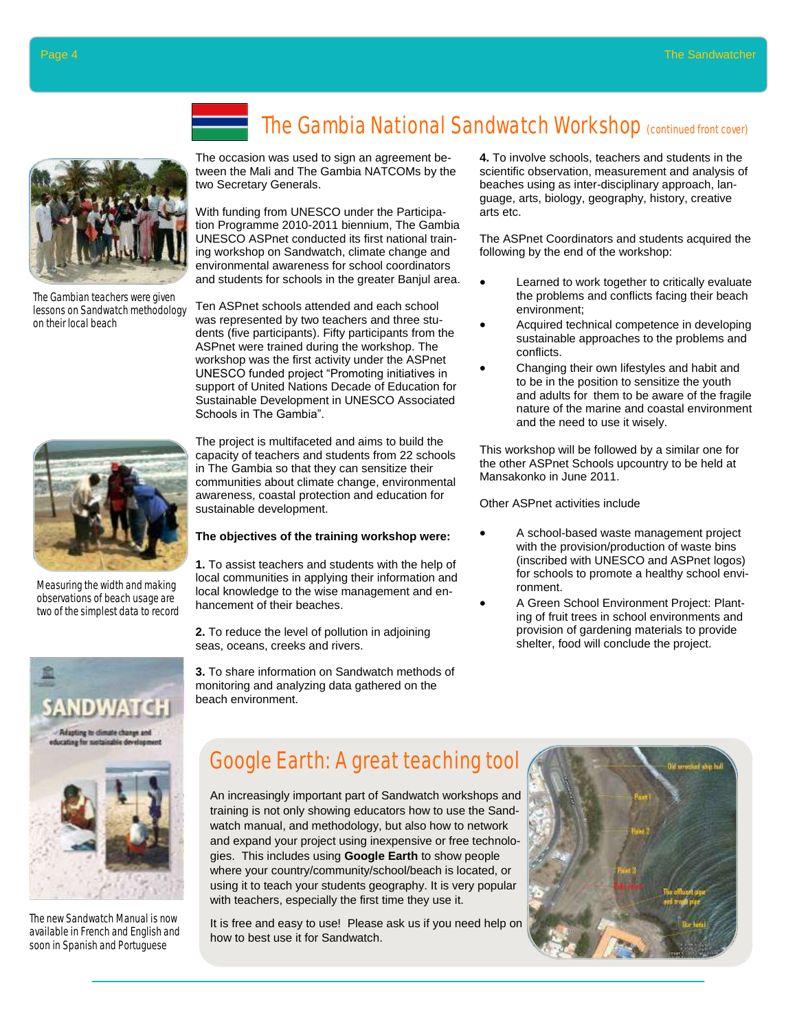

The Gambian teachers were given lessons on Sandwatch methodology on their local beach



Measuring the width and making observations of beach usage are two of the simplest data to record



The new Sandwatch Manual is now available in French and English and soon in Spanish and Portuguese

The Gambia National Sandwatch Workshop (continued front cover)

The occasion was used to sign an agreement between the Mali and The Gambia NATCOMs by the two Secretary Generals.

With funding from UNESCO under the Participation Programme 2010-2011 biennium, The Gambia UNESCO ASPnet conducted its first national training workshop on Sandwatch, climate change and environmental awareness for school coordinators and students for schools in the greater Banjul area.

Ten ASPnet schools attended and each school was represented by two teachers and three students (five participants). Fifty participants from the ASPnet were trained during the workshop. The workshop was the first activity under the ASPnet UNESCO funded project "Promoting initiatives in support of United Nations Decade of Education for Sustainable Development in UNESCO Associated Schools in The Gambia".

The project is multifaceted and aims to build the capacity of teachers and students from 22 schools in The Gambia so that they can sensitize their communities about climate change, environmental awareness, coastal protection and education for sustainable development.

#### **The objectives of the training workshop were:**

**1.** To assist teachers and students with the help of local communities in applying their information and local knowledge to the wise management and enhancement of their beaches.

**2.** To reduce the level of pollution in adjoining seas, oceans, creeks and rivers.

**3.** To share information on Sandwatch methods of monitoring and analyzing data gathered on the beach environment.

**4.** To involve schools, teachers and students in the scientific observation, measurement and analysis of beaches using as inter-disciplinary approach, language, arts, biology, geography, history, creative arts etc.

The ASPnet Coordinators and students acquired the following by the end of the workshop:

- Learned to work together to critically evaluate the problems and conflicts facing their beach environment;
- Acquired technical competence in developing sustainable approaches to the problems and conflicts.
- Changing their own lifestyles and habit and to be in the position to sensitize the youth and adults for them to be aware of the fragile nature of the marine and coastal environment and the need to use it wisely.

This workshop will be followed by a similar one for the other ASPnet Schools upcountry to be held at Mansakonko in June 2011.

Other ASPnet activities include

- A school-based waste management project with the provision/production of waste bins (inscribed with UNESCO and ASPnet logos) for schools to promote a healthy school environment.
	- A Green School Environment Project: Planting of fruit trees in school environments and provision of gardening materials to provide shelter, food will conclude the project.

## Google Earth: A great teaching tool

An increasingly important part of Sandwatch workshops and training is not only showing educators how to use the Sandwatch manual, and methodology, but also how to network and expand your project using inexpensive or free technologies. This includes using **Google Earth** to show people where your country/community/school/beach is located, or using it to teach your students geography. It is very popular with teachers, especially the first time they use it.

It is free and easy to use! Please ask us if you need help on how to best use it for Sandwatch.

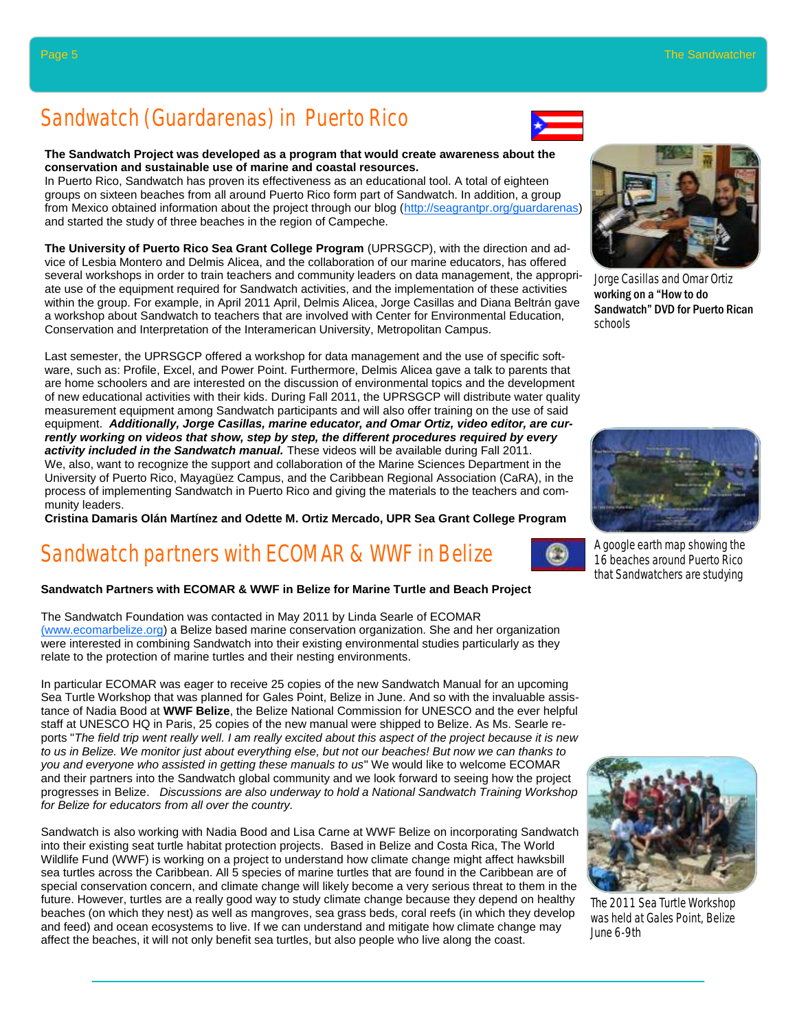## Sandwatch (Guardarenas) in Puerto Rico

#### **The Sandwatch Project was developed as a program that would create awareness about the conservation and sustainable use of marine and coastal resources.**

In Puerto Rico, Sandwatch has proven its effectiveness as an educational tool. A total of eighteen groups on sixteen beaches from all around Puerto Rico form part of Sandwatch. In addition, a group from Mexico obtained information about the project through our blog (http://seagrantpr.org/guardarenas) and started the study of three beaches in the region of Campeche.

**The University of Puerto Rico Sea Grant College Program** (UPRSGCP), with the direction and advice of Lesbia Montero and Delmis Alicea, and the collaboration of our marine educators, has offered several workshops in order to train teachers and community leaders on data management, the appropriate use of the equipment required for Sandwatch activities, and the implementation of these activities within the group. For example, in April 2011 April, Delmis Alicea, Jorge Casillas and Diana Beltrán gave a workshop about Sandwatch to teachers that are involved with Center for Environmental Education, Conservation and Interpretation of the Interamerican University, Metropolitan Campus.

Last semester, the UPRSGCP offered a workshop for data management and the use of specific software, such as: Profile, Excel, and Power Point. Furthermore, Delmis Alicea gave a talk to parents that are home schoolers and are interested on the discussion of environmental topics and the development of new educational activities with their kids. During Fall 2011, the UPRSGCP will distribute water quality measurement equipment among Sandwatch participants and will also offer training on the use of said equipment. *Additionally, Jorge Casillas, marine educator, and Omar Ortiz, video editor, are currently working on videos that show, step by step, the different procedures required by every activity included in the Sandwatch manual.* These videos will be available during Fall 2011. We, also, want to recognize the support and collaboration of the Marine Sciences Department in the University of Puerto Rico, Mayagüez Campus, and the Caribbean Regional Association (CaRA), in the process of implementing Sandwatch in Puerto Rico and giving the materials to the teachers and community leaders.

**Cristina Damaris Olán Martínez and Odette M. Ortiz Mercado, UPR Sea Grant College Program** 

## Sandwatch partners with ECOMAR & WWF in Belize

#### **Sandwatch Partners with ECOMAR & WWF in Belize for Marine Turtle and Beach Project**

The Sandwatch Foundation was contacted in May 2011 by Linda Searle of ECOMAR (www.ecomarbelize.org) a Belize based marine conservation organization. She and her organization were interested in combining Sandwatch into their existing environmental studies particularly as they relate to the protection of marine turtles and their nesting environments.

In particular ECOMAR was eager to receive 25 copies of the new Sandwatch Manual for an upcoming Sea Turtle Workshop that was planned for Gales Point, Belize in June. And so with the invaluable assistance of Nadia Bood at **WWF Belize**, the Belize National Commission for UNESCO and the ever helpful staff at UNESCO HQ in Paris, 25 copies of the new manual were shipped to Belize. As Ms. Searle reports "*The field trip went really well. I am really excited about this aspect of the project because it is new to us in Belize. We monitor just about everything else, but not our beaches! But now we can thanks to you and everyone who assisted in getting these manuals to us*" We would like to welcome ECOMAR and their partners into the Sandwatch global community and we look forward to seeing how the project progresses in Belize. *Discussions are also underway to hold a National Sandwatch Training Workshop for Belize for educators from all over the country.*

Sandwatch is also working with Nadia Bood and Lisa Carne at WWF Belize on incorporating Sandwatch into their existing seat turtle habitat protection projects. Based in Belize and Costa Rica, The World Wildlife Fund (WWF) is working on a project to understand how climate change might affect hawksbill sea turtles across the Caribbean. All 5 species of marine turtles that are found in the Caribbean are of special conservation concern, and climate change will likely become a very serious threat to them in the future. However, turtles are a really good way to study climate change because they depend on healthy beaches (on which they nest) as well as mangroves, sea grass beds, coral reefs (in which they develop and feed) and ocean ecosystems to live. If we can understand and mitigate how climate change may affect the beaches, it will not only benefit sea turtles, but also people who live along the coast.

Jorge Casillas and Omar Ortiz working on a "How to do Sandwatch" DVD for Puerto Rican

schools



16 beaches around Puerto Rico that Sandwatchers are studying



The 2011 Sea Turtle Workshop was held at Gales Point, Belize June 6-9th

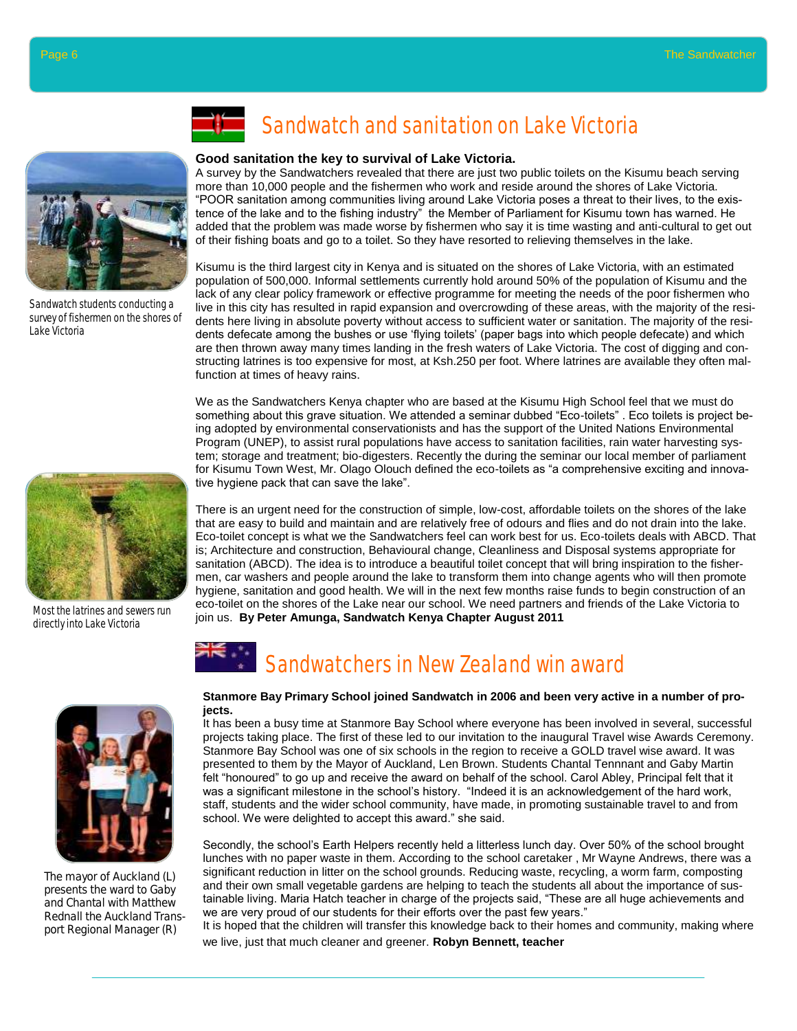

Sandwatch students conducting a survey of fishermen on the shores of Lake Victoria



Most the latrines and sewers run directly into Lake Victoria



The mayor of Auckland (L) presents the ward to Gaby and Chantal with Matthew Rednall the Auckland Transport Regional Manager (R)

## Sandwatch and sanitation on Lake Victoria

#### **Good sanitation the key to survival of Lake Victoria.**

A survey by the Sandwatchers revealed that there are just two public toilets on the Kisumu beach serving more than 10,000 people and the fishermen who work and reside around the shores of Lake Victoria. ―POOR sanitation among communities living around Lake Victoria poses a threat to their lives, to the existence of the lake and to the fishing industry" the Member of Parliament for Kisumu town has warned. He added that the problem was made worse by fishermen who say it is time wasting and anti-cultural to get out of their fishing boats and go to a toilet. So they have resorted to relieving themselves in the lake.

Kisumu is the third largest city in Kenya and is situated on the shores of Lake Victoria, with an estimated population of 500,000. Informal settlements currently hold around 50% of the population of Kisumu and the lack of any clear policy framework or effective programme for meeting the needs of the poor fishermen who live in this city has resulted in rapid expansion and overcrowding of these areas, with the majority of the residents here living in absolute poverty without access to sufficient water or sanitation. The majority of the residents defecate among the bushes or use 'flying toilets' (paper bags into which people defecate) and which are then thrown away many times landing in the fresh waters of Lake Victoria. The cost of digging and constructing latrines is too expensive for most, at Ksh.250 per foot. Where latrines are available they often malfunction at times of heavy rains.

We as the Sandwatchers Kenya chapter who are based at the Kisumu High School feel that we must do something about this grave situation. We attended a seminar dubbed "Eco-toilets". Eco toilets is project being adopted by environmental conservationists and has the support of the United Nations Environmental Program (UNEP), to assist rural populations have access to sanitation facilities, rain water harvesting system; storage and treatment; bio-digesters. Recently the during the seminar our local member of parliament for Kisumu Town West, Mr. Olago Olouch defined the eco-toilets as "a comprehensive exciting and innovative hygiene pack that can save the lake".

There is an urgent need for the construction of simple, low-cost, affordable toilets on the shores of the lake that are easy to build and maintain and are relatively free of odours and flies and do not drain into the lake. Eco-toilet concept is what we the Sandwatchers feel can work best for us. Eco-toilets deals with ABCD. That is; Architecture and construction, Behavioural change, Cleanliness and Disposal systems appropriate for sanitation (ABCD). The idea is to introduce a beautiful toilet concept that will bring inspiration to the fishermen, car washers and people around the lake to transform them into change agents who will then promote hygiene, sanitation and good health. We will in the next few months raise funds to begin construction of an eco-toilet on the shores of the Lake near our school. We need partners and friends of the Lake Victoria to join us. **By Peter Amunga, Sandwatch Kenya Chapter August 2011**

# Sandwatchers in New Zealand win award

#### **Stanmore Bay Primary School joined Sandwatch in 2006 and been very active in a number of projects.**

It has been a busy time at Stanmore Bay School where everyone has been involved in several, successful projects taking place. The first of these led to our invitation to the inaugural Travel wise Awards Ceremony. Stanmore Bay School was one of six schools in the region to receive a GOLD travel wise award. It was presented to them by the Mayor of Auckland, Len Brown. Students Chantal Tennnant and Gaby Martin felt "honoured" to go up and receive the award on behalf of the school. Carol Abley, Principal felt that it was a significant milestone in the school's history. "Indeed it is an acknowledgement of the hard work, staff, students and the wider school community, have made, in promoting sustainable travel to and from school. We were delighted to accept this award." she said.

Secondly, the school's Earth Helpers recently held a litterless lunch day. Over 50% of the school brought lunches with no paper waste in them. According to the school caretaker , Mr Wayne Andrews, there was a significant reduction in litter on the school grounds. Reducing waste, recycling, a worm farm, composting and their own small vegetable gardens are helping to teach the students all about the importance of sustainable living. Maria Hatch teacher in charge of the projects said, "These are all huge achievements and we are very proud of our students for their efforts over the past few years."

It is hoped that the children will transfer this knowledge back to their homes and community, making where we live, just that much cleaner and greener. **Robyn Bennett, teacher**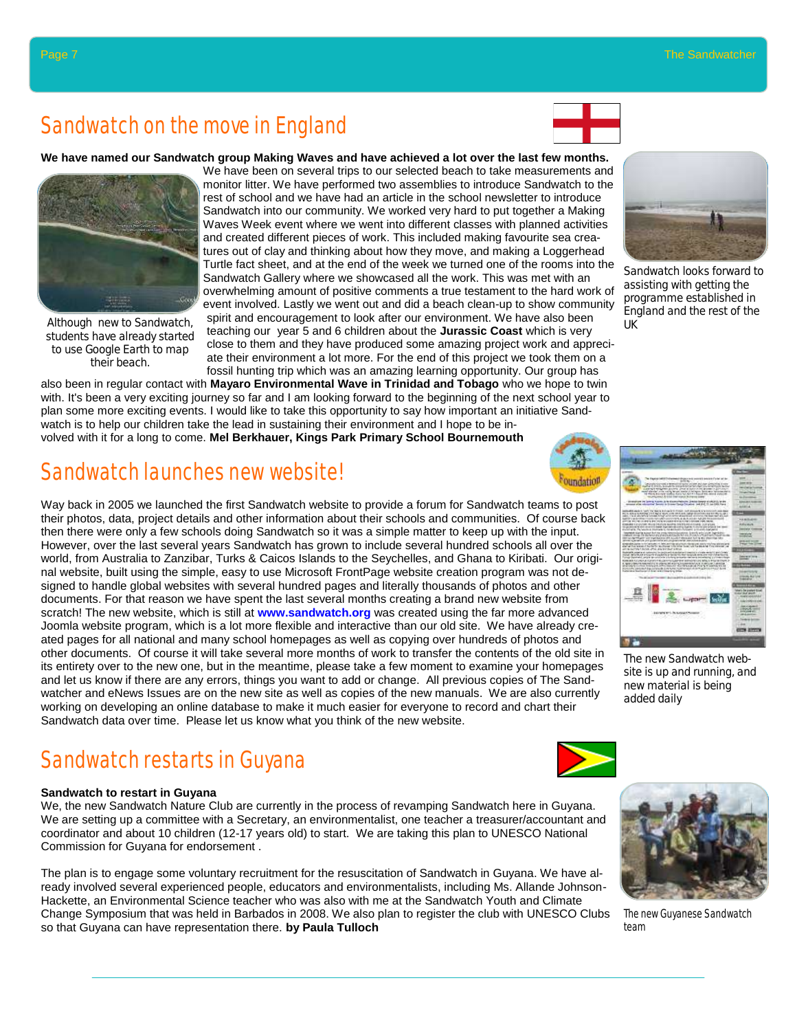## Sandwatch on the move in England

**We have named our Sandwatch group Making Waves and have achieved a lot over the last few months.** 



Although new to Sandwatch, students have already started to use Google Earth to map their beach.

We have been on several trips to our selected beach to take measurements and monitor litter. We have performed two assemblies to introduce Sandwatch to the rest of school and we have had an article in the school newsletter to introduce Sandwatch into our community. We worked very hard to put together a Making Waves Week event where we went into different classes with planned activities and created different pieces of work. This included making favourite sea creatures out of clay and thinking about how they move, and making a Loggerhead Turtle fact sheet, and at the end of the week we turned one of the rooms into the Sandwatch Gallery where we showcased all the work. This was met with an overwhelming amount of positive comments a true testament to the hard work of event involved. Lastly we went out and did a beach clean-up to show community spirit and encouragement to look after our environment. We have also been teaching our year 5 and 6 children about the **Jurassic Coast** which is very close to them and they have produced some amazing project work and appreciate their environment a lot more. For the end of this project we took them on a fossil hunting trip which was an amazing learning opportunity. Our group has

also been in regular contact with **Mayaro Environmental Wave in Trinidad and Tobago** who we hope to twin with. It's been a very exciting journey so far and I am looking forward to the beginning of the next school year to plan some more exciting events. I would like to take this opportunity to say how important an initiative Sandwatch is to help our children take the lead in sustaining their environment and I hope to be involved with it for a long to come. **Mel Berkhauer, Kings Park Primary School Bournemouth**

## Sandwatch launches new website!

Way back in 2005 we launched the first Sandwatch website to provide a forum for Sandwatch teams to post their photos, data, project details and other information about their schools and communities. Of course back then there were only a few schools doing Sandwatch so it was a simple matter to keep up with the input. However, over the last several years Sandwatch has grown to include several hundred schools all over the world, from Australia to Zanzibar, Turks & Caicos Islands to the Seychelles, and Ghana to Kiribati. Our original website, built using the simple, easy to use Microsoft FrontPage website creation program was not designed to handle global websites with several hundred pages and literally thousands of photos and other documents. For that reason we have spent the last several months creating a brand new website from scratch! The new website, which is still at **www.sandwatch.org** was created using the far more advanced Joomla website program, which is a lot more flexible and interactive than our old site. We have already created pages for all national and many school homepages as well as copying over hundreds of photos and other documents. Of course it will take several more months of work to transfer the contents of the old site in its entirety over to the new one, but in the meantime, please take a few moment to examine your homepages and let us know if there are any errors, things you want to add or change. All previous copies of The Sandwatcher and eNews Issues are on the new site as well as copies of the new manuals. We are also currently working on developing an online database to make it much easier for everyone to record and chart their Sandwatch data over time. Please let us know what you think of the new website.

## Sandwatch restarts in Guyana

#### **Sandwatch to restart in Guyana**

We, the new Sandwatch Nature Club are currently in the process of revamping Sandwatch here in Guyana. We are setting up a committee with a Secretary, an environmentalist, one teacher a treasurer/accountant and coordinator and about 10 children (12-17 years old) to start. We are taking this plan to UNESCO National Commission for Guyana for endorsement .

The plan is to engage some voluntary recruitment for the resuscitation of Sandwatch in Guyana. We have already involved several experienced people, educators and environmentalists, including Ms. Allande Johnson-Hackette, an Environmental Science teacher who was also with me at the Sandwatch Youth and Climate Change Symposium that was held in Barbados in 2008. We also plan to register the club with UNESCO Clubs so that Guyana can have representation there. **by Paula Tulloch**





The new Guyanese Sandwatch team



Sandwatch looks forward to assisting with getting the programme established in England and the rest of the

UK

The new Sandwatch website is up and running, and new material is being added daily



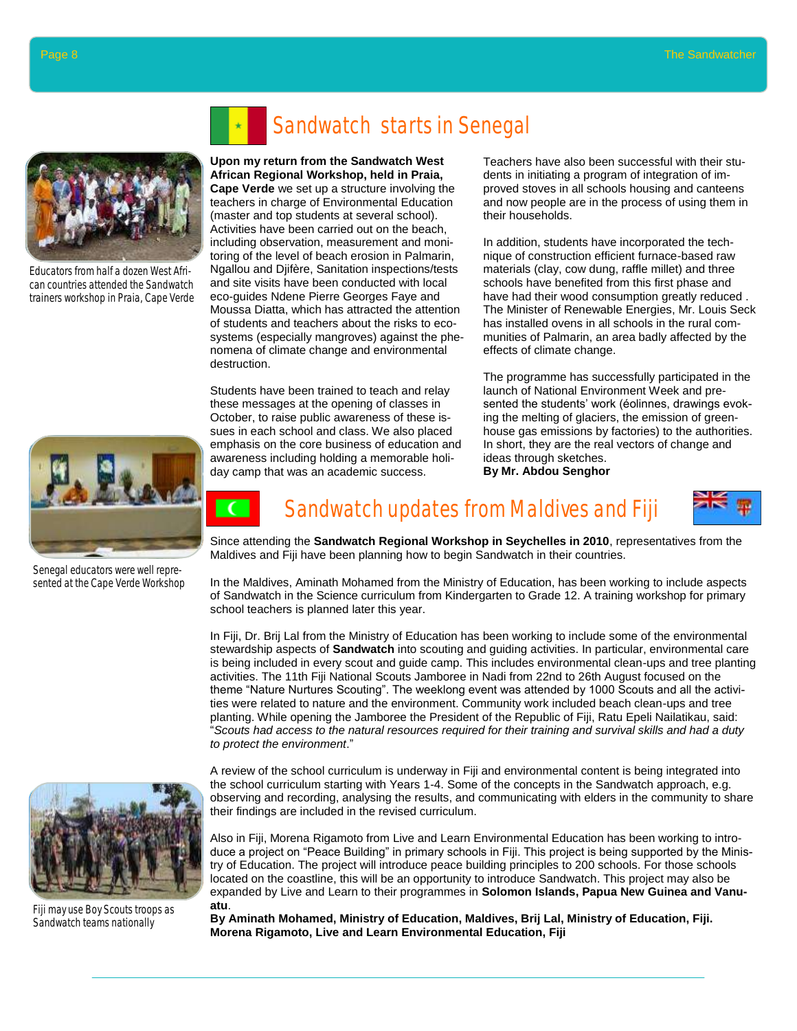

Educators from half a dozen West African countries attended the Sandwatch trainers workshop in Praia, Cape Verde



Senegal educators were well represented at the Cape Verde Workshop



Fiji may use Boy Scouts troops as Sandwatch teams nationally

# Sandwatch starts in Senegal

#### **Upon my return from the Sandwatch West African Regional Workshop, held in Praia,**

**Cape Verde** we set up a structure involving the teachers in charge of Environmental Education (master and top students at several school). Activities have been carried out on the beach, including observation, measurement and monitoring of the level of beach erosion in Palmarin, Ngallou and Djifère, Sanitation inspections/tests and site visits have been conducted with local eco-guides Ndene Pierre Georges Faye and Moussa Diatta, which has attracted the attention of students and teachers about the risks to ecosystems (especially mangroves) against the phenomena of climate change and environmental destruction.

Students have been trained to teach and relay these messages at the opening of classes in October, to raise public awareness of these issues in each school and class. We also placed emphasis on the core business of education and awareness including holding a memorable holiday camp that was an academic success.

 $\epsilon$ 

Teachers have also been successful with their students in initiating a program of integration of improved stoves in all schools housing and canteens and now people are in the process of using them in their households.

In addition, students have incorporated the technique of construction efficient furnace-based raw materials (clay, cow dung, raffle millet) and three schools have benefited from this first phase and have had their wood consumption greatly reduced . The Minister of Renewable Energies, Mr. Louis Seck has installed ovens in all schools in the rural communities of Palmarin, an area badly affected by the effects of climate change.

The programme has successfully participated in the launch of National Environment Week and presented the students' work (éolinnes, drawings evoking the melting of glaciers, the emission of greenhouse gas emissions by factories) to the authorities. In short, they are the real vectors of change and ideas through sketches.

**By Mr. Abdou Senghor**



# Sandwatch updates from Maldives and Fiji

Since attending the **Sandwatch Regional Workshop in Seychelles in 2010**, representatives from the Maldives and Fiji have been planning how to begin Sandwatch in their countries.

In the Maldives, Aminath Mohamed from the Ministry of Education, has been working to include aspects of Sandwatch in the Science curriculum from Kindergarten to Grade 12. A training workshop for primary school teachers is planned later this year.

In Fiji, Dr. Brij Lal from the Ministry of Education has been working to include some of the environmental stewardship aspects of **Sandwatch** into scouting and guiding activities. In particular, environmental care is being included in every scout and guide camp. This includes environmental clean-ups and tree planting activities. The 11th Fiji National Scouts Jamboree in Nadi from 22nd to 26th August focused on the theme "Nature Nurtures Scouting". The weeklong event was attended by 1000 Scouts and all the activities were related to nature and the environment. Community work included beach clean-ups and tree planting. While opening the Jamboree the President of the Republic of Fiji, Ratu Epeli Nailatikau, said: ―*Scouts had access to the natural resources required for their training and survival skills and had a duty to protect the environment*.‖

A review of the school curriculum is underway in Fiji and environmental content is being integrated into the school curriculum starting with Years 1-4. Some of the concepts in the Sandwatch approach, e.g. observing and recording, analysing the results, and communicating with elders in the community to share their findings are included in the revised curriculum.

Also in Fiji, Morena Rigamoto from Live and Learn Environmental Education has been working to introduce a project on "Peace Building" in primary schools in Fiji. This project is being supported by the Ministry of Education. The project will introduce peace building principles to 200 schools. For those schools located on the coastline, this will be an opportunity to introduce Sandwatch. This project may also be expanded by Live and Learn to their programmes in **Solomon Islands, Papua New Guinea and Vanuatu**.

**By Aminath Mohamed, Ministry of Education, Maldives, Brij Lal, Ministry of Education, Fiji. Morena Rigamoto, Live and Learn Environmental Education, Fiji**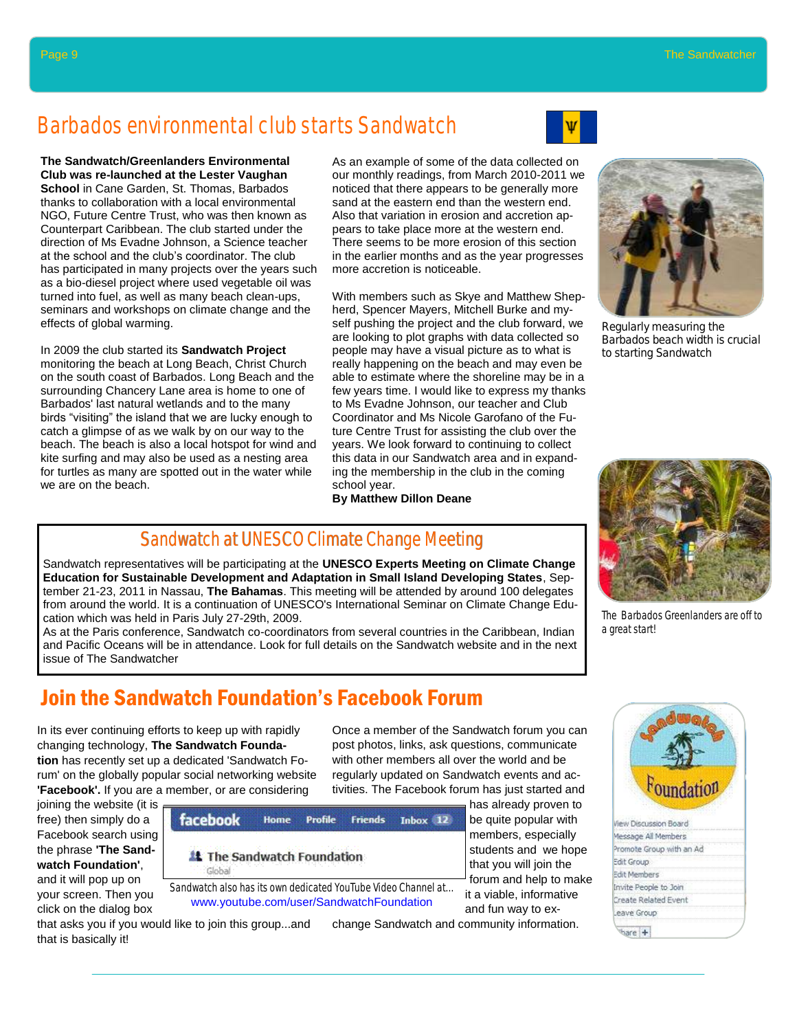## Barbados environmental club starts Sandwatch



**The Sandwatch/Greenlanders Environmental Club was re-launched at the Lester Vaughan** 

**School** in Cane Garden, St. Thomas, Barbados thanks to collaboration with a local environmental NGO, Future Centre Trust, who was then known as Counterpart Caribbean. The club started under the direction of Ms Evadne Johnson, a Science teacher at the school and the club's coordinator. The club has participated in many projects over the years such as a bio-diesel project where used vegetable oil was turned into fuel, as well as many beach clean-ups, seminars and workshops on climate change and the effects of global warming.

In 2009 the club started its **Sandwatch Project**  monitoring the beach at Long Beach, Christ Church on the south coast of Barbados. Long Beach and the surrounding Chancery Lane area is home to one of Barbados' last natural wetlands and to the many birds "visiting" the island that we are lucky enough to catch a glimpse of as we walk by on our way to the beach. The beach is also a local hotspot for wind and kite surfing and may also be used as a nesting area for turtles as many are spotted out in the water while we are on the beach.

As an example of some of the data collected on our monthly readings, from March 2010-2011 we noticed that there appears to be generally more sand at the eastern end than the western end. Also that variation in erosion and accretion appears to take place more at the western end. There seems to be more erosion of this section in the earlier months and as the year progresses more accretion is noticeable.

With members such as Skye and Matthew Shepherd, Spencer Mayers, Mitchell Burke and myself pushing the project and the club forward, we are looking to plot graphs with data collected so people may have a visual picture as to what is really happening on the beach and may even be able to estimate where the shoreline may be in a few years time. I would like to express my thanks to Ms Evadne Johnson, our teacher and Club Coordinator and Ms Nicole Garofano of the Future Centre Trust for assisting the club over the years. We look forward to continuing to collect this data in our Sandwatch area and in expanding the membership in the club in the coming school year.

#### **By Matthew Dillon Deane**

Regularly measuring the Barbados beach width is crucial to starting Sandwatch



The Barbados Greenlanders are off to a great start!

| t'oundation           |  |  |  |  |  |  |
|-----------------------|--|--|--|--|--|--|
| Scussion Board        |  |  |  |  |  |  |
| ssage All Members     |  |  |  |  |  |  |
| Promote Group with a  |  |  |  |  |  |  |
| Edit Group            |  |  |  |  |  |  |
| <b>Edit Members</b>   |  |  |  |  |  |  |
| Invite People to Join |  |  |  |  |  |  |
| Create Related Event  |  |  |  |  |  |  |
| eave Group            |  |  |  |  |  |  |
|                       |  |  |  |  |  |  |

#### Sandwatch at UNESCO Climate Change Meeting

Sandwatch representatives will be participating at the **UNESCO Experts Meeting on Climate Change Education for Sustainable Development and Adaptation in Small Island Developing States**, September 21-23, 2011 in Nassau, **The Bahamas**. This meeting will be attended by around 100 delegates from around the world. It is a continuation of UNESCO's International Seminar on Climate Change Education which was held in Paris July 27-29th, 2009.

As at the Paris conference, Sandwatch co-coordinators from several countries in the Caribbean, Indian and Pacific Oceans will be in attendance. Look for full details on the Sandwatch website and in the next issue of The Sandwatcher

#### Join the Sandwatch Foundation's Facebook Forum

In its ever continuing efforts to keep up with rapidly changing technology, **The Sandwatch Foundation** has recently set up a dedicated 'Sandwatch Forum' on the globally popular social networking website **'Facebook'.** If you are a member, or are considering

joining the website (it is free) then simply do a Facebook search using the phrase **'The Sandwatch Foundation'**,

and it will pop up on your screen. Then you click on the dialog box that asks you if you would like to join this group...and

that is basically it!



www.youtube.com/user/SandwatchFoundation

change Sandwatch and community information.

Once a member of the Sandwatch forum you can post photos, links, ask questions, communicate with other members all over the world and be regularly updated on Sandwatch events and activities. The Facebook forum has just started and

and fun way to ex-

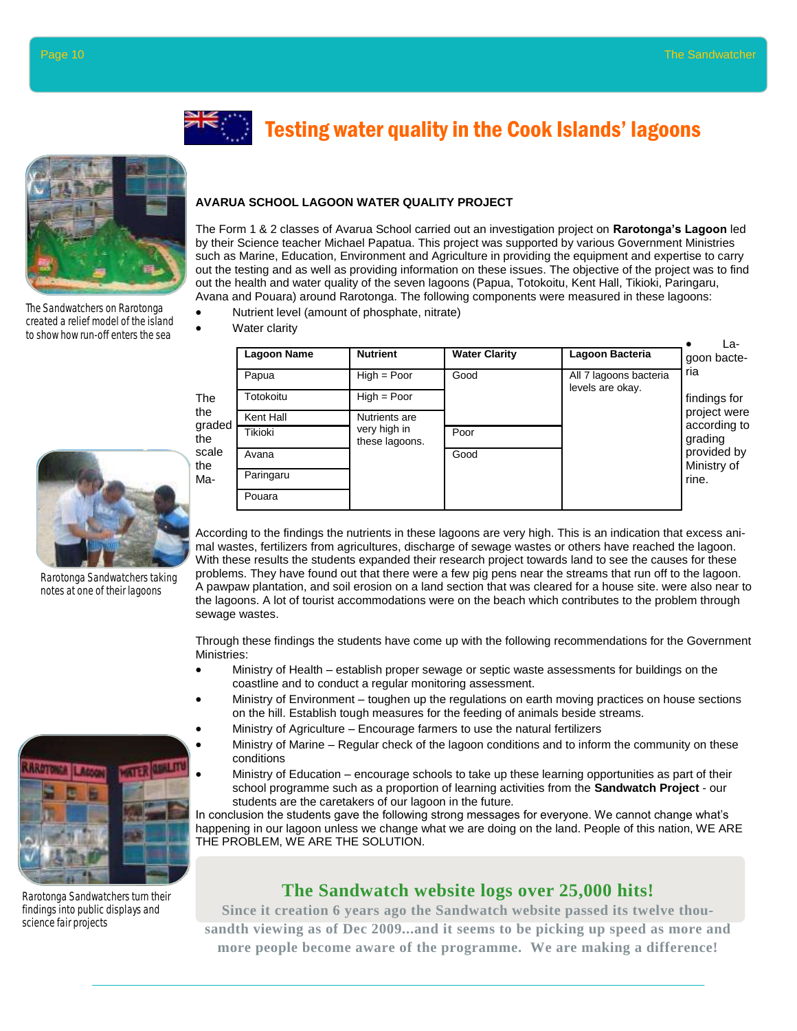

The Sandwatchers on Rarotonga created a relief model of the island to show how run-off enters the sea



The Form 1 & 2 classes of Avarua School carried out an investigation project on **Rarotonga's Lagoon** led by their Science teacher Michael Papatua. This project was supported by various Government Ministries such as Marine, Education, Environment and Agriculture in providing the equipment and expertise to carry out the testing and as well as providing information on these issues. The objective of the project was to find out the health and water quality of the seven lagoons (Papua, Totokoitu, Kent Hall, Tikioki, Paringaru, Avana and Pouara) around Rarotonga. The following components were measured in these lagoons:

Testing water quality in the Cook Islands' lagoons

Nutrient level (amount of phosphate, nitrate)

Water clarity

| The<br>the<br>graded<br>the<br>scale<br>the<br>Ma- | <b>Lagoon Name</b> | <b>Nutrient</b>                | <b>Water Clarity</b> | Lagoon Bacteria                            | La-<br>goon bacte-                                                                                    |  |
|----------------------------------------------------|--------------------|--------------------------------|----------------------|--------------------------------------------|-------------------------------------------------------------------------------------------------------|--|
|                                                    | Papua              | $High = Poor$                  | Good                 | All 7 lagoons bacteria<br>levels are okay. | ria<br>findings for<br>project were<br>according to<br>grading<br>provided by<br>Ministry of<br>rine. |  |
|                                                    | Totokoitu          | $High = Poor$                  |                      |                                            |                                                                                                       |  |
|                                                    | Kent Hall          | Nutrients are                  |                      |                                            |                                                                                                       |  |
|                                                    | Tikioki            | very high in<br>these lagoons. | Poor                 |                                            |                                                                                                       |  |
|                                                    | Avana              |                                | Good                 |                                            |                                                                                                       |  |
|                                                    | Paringaru          |                                |                      |                                            |                                                                                                       |  |
|                                                    | Pouara             |                                |                      |                                            |                                                                                                       |  |

According to the findings the nutrients in these lagoons are very high. This is an indication that excess animal wastes, fertilizers from agricultures, discharge of sewage wastes or others have reached the lagoon. With these results the students expanded their research project towards land to see the causes for these problems. They have found out that there were a few pig pens near the streams that run off to the lagoon. A pawpaw plantation, and soil erosion on a land section that was cleared for a house site. were also near to the lagoons. A lot of tourist accommodations were on the beach which contributes to the problem through sewage wastes.

Through these findings the students have come up with the following recommendations for the Government Ministries:

- Ministry of Health establish proper sewage or septic waste assessments for buildings on the coastline and to conduct a regular monitoring assessment.
- Ministry of Environment toughen up the regulations on earth moving practices on house sections on the hill. Establish tough measures for the feeding of animals beside streams.
	- Ministry of Agriculture Encourage farmers to use the natural fertilizers
- Ministry of Marine Regular check of the lagoon conditions and to inform the community on these conditions
- Ministry of Education encourage schools to take up these learning opportunities as part of their school programme such as a proportion of learning activities from the **Sandwatch Project** - our students are the caretakers of our lagoon in the future*.*

In conclusion the students gave the following strong messages for everyone. We cannot change what's happening in our lagoon unless we change what we are doing on the land. People of this nation, WE ARE THE PROBLEM, WE ARE THE SOLUTION.

#### **The Sandwatch website logs over 25,000 hits!**

**Since it creation 6 years ago the Sandwatch website passed its twelve thousandth viewing as of Dec 2009...and it seems to be picking up speed as more and more people become aware of the programme. We are making a difference!**



Rarotonga Sandwatchers taking notes at one of their lagoons



Rarotonga Sandwatchers turn their findings into public displays and science fair projects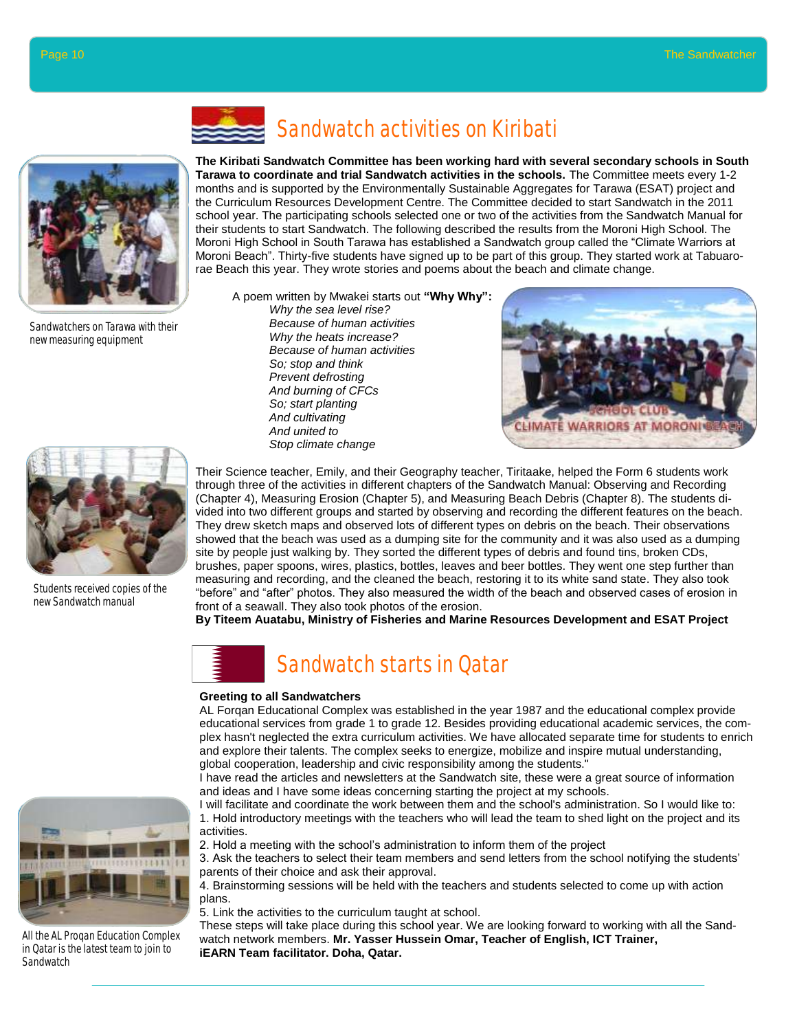



Sandwatchers on Tarawa with their new measuring equipment



**The Kiribati Sandwatch Committee has been working hard with several secondary schools in South Tarawa to coordinate and trial Sandwatch activities in the schools.** The Committee meets every 1-2 months and is supported by the Environmentally Sustainable Aggregates for Tarawa (ESAT) project and the Curriculum Resources Development Centre. The Committee decided to start Sandwatch in the 2011 school year. The participating schools selected one or two of the activities from the Sandwatch Manual for their students to start Sandwatch. The following described the results from the Moroni High School. The Moroni High School in South Tarawa has established a Sandwatch group called the "Climate Warriors at Moroni Beach". Thirty-five students have signed up to be part of this group. They started work at Tabuarorae Beach this year. They wrote stories and poems about the beach and climate change.

A poem written by Mwakei starts out **"Why Why":** *Why the sea level rise? Because of human activities*

*Why the heats increase? Because of human activities So; stop and think Prevent defrosting And burning of CFCs So; start planting And cultivating And united to Stop climate change*





Students received copies of the new Sandwatch manual

Their Science teacher, Emily, and their Geography teacher, Tiritaake, helped the Form 6 students work through three of the activities in different chapters of the Sandwatch Manual: Observing and Recording (Chapter 4), Measuring Erosion (Chapter 5), and Measuring Beach Debris (Chapter 8). The students divided into two different groups and started by observing and recording the different features on the beach. They drew sketch maps and observed lots of different types on debris on the beach. Their observations showed that the beach was used as a dumping site for the community and it was also used as a dumping site by people just walking by. They sorted the different types of debris and found tins, broken CDs, brushes, paper spoons, wires, plastics, bottles, leaves and beer bottles. They went one step further than measuring and recording, and the cleaned the beach, restoring it to its white sand state. They also took "before" and "after" photos. They also measured the width of the beach and observed cases of erosion in front of a seawall. They also took photos of the erosion.

**By Titeem Auatabu, Ministry of Fisheries and Marine Resources Development and ESAT Project**



#### **Greeting to all Sandwatchers**

AL Forqan Educational Complex was established in the year 1987 and the educational complex provide educational services from grade 1 to grade 12. Besides providing educational academic services, the complex hasn't neglected the extra curriculum activities. We have allocated separate time for students to enrich and explore their talents. The complex seeks to energize, mobilize and inspire mutual understanding, global cooperation, leadership and civic responsibility among the students."

I have read the articles and newsletters at the Sandwatch site, these were a great source of information and ideas and I have some ideas concerning starting the project at my schools.

I will facilitate and coordinate the work between them and the school's administration. So I would like to: 1. Hold introductory meetings with the teachers who will lead the team to shed light on the project and its activities.

2. Hold a meeting with the school's administration to inform them of the project

3. Ask the teachers to select their team members and send letters from the school notifying the students' parents of their choice and ask their approval.

4. Brainstorming sessions will be held with the teachers and students selected to come up with action plans.

5. Link the activities to the curriculum taught at school.

These steps will take place during this school year. We are looking forward to working with all the Sandwatch network members. **Mr. Yasser Hussein Omar, Teacher of English, ICT Trainer, iEARN Team facilitator. Doha, Qatar.**



All the AL Proqan Education Complex in Qatar is the latest team to join to **Sandwatch**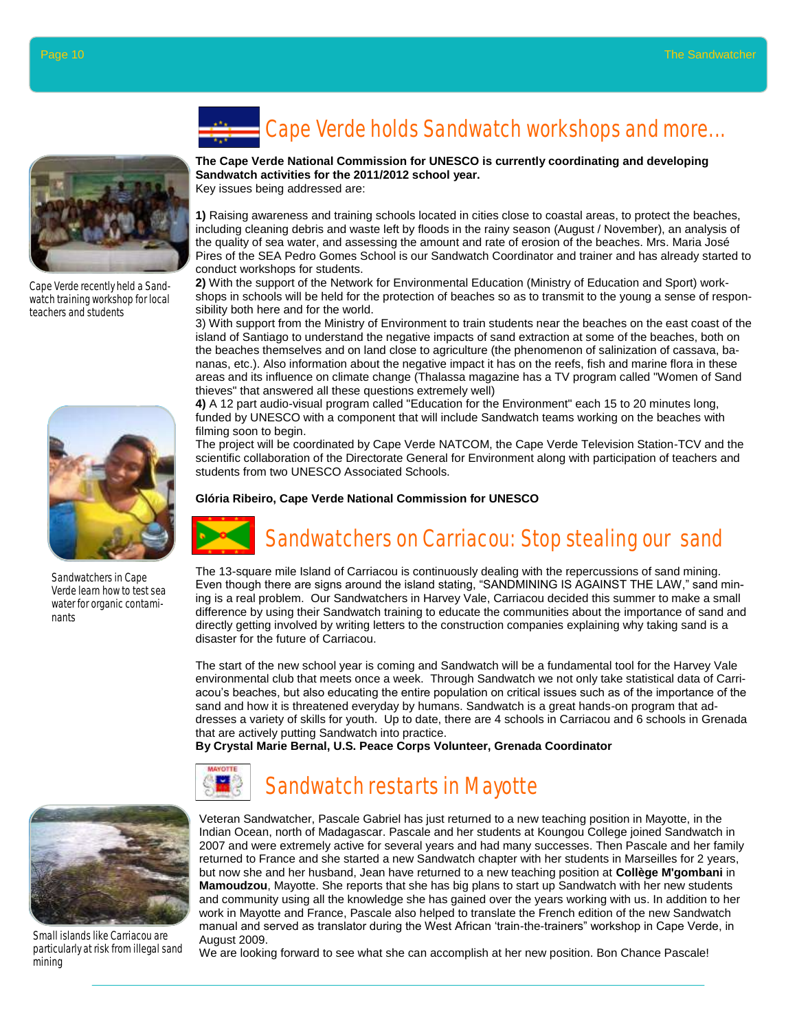

Cape Verde recently held a Sandwatch training workshop for local teachers and students



Sandwatchers in Cape Verde learn how to test sea water for organic contaminants

# Cape Verde holds Sandwatch workshops and more...

#### **The Cape Verde National Commission for UNESCO is currently coordinating and developing Sandwatch activities for the 2011/2012 school year.**

Key issues being addressed are:

**1)** Raising awareness and training schools located in cities close to coastal areas, to protect the beaches, including cleaning debris and waste left by floods in the rainy season (August / November), an analysis of the quality of sea water, and assessing the amount and rate of erosion of the beaches. Mrs. Maria José Pires of the SEA Pedro Gomes School is our Sandwatch Coordinator and trainer and has already started to conduct workshops for students.

**2)** With the support of the Network for Environmental Education (Ministry of Education and Sport) workshops in schools will be held for the protection of beaches so as to transmit to the young a sense of responsibility both here and for the world.

3) With support from the Ministry of Environment to train students near the beaches on the east coast of the island of Santiago to understand the negative impacts of sand extraction at some of the beaches, both on the beaches themselves and on land close to agriculture (the phenomenon of salinization of cassava, bananas, etc.). Also information about the negative impact it has on the reefs, fish and marine flora in these areas and its influence on climate change (Thalassa magazine has a TV program called "Women of Sand thieves" that answered all these questions extremely well)

**4)** A 12 part audio-visual program called "Education for the Environment" each 15 to 20 minutes long, funded by UNESCO with a component that will include Sandwatch teams working on the beaches with filming soon to begin.

The project will be coordinated by Cape Verde NATCOM, the Cape Verde Television Station-TCV and the scientific collaboration of the Directorate General for Environment along with participation of teachers and students from two UNESCO Associated Schools.

#### **Glória Ribeiro, Cape Verde National Commission for UNESCO**



Sandwatchers on Carriacou: Stop stealing our sand

The 13-square mile Island of Carriacou is continuously dealing with the repercussions of sand mining. Even though there are signs around the island stating, "SANDMINING IS AGAINST THE LAW," sand mining is a real problem. Our Sandwatchers in Harvey Vale, Carriacou decided this summer to make a small difference by using their Sandwatch training to educate the communities about the importance of sand and directly getting involved by writing letters to the construction companies explaining why taking sand is a disaster for the future of Carriacou.

The start of the new school year is coming and Sandwatch will be a fundamental tool for the Harvey Vale environmental club that meets once a week. Through Sandwatch we not only take statistical data of Carriacou's beaches, but also educating the entire population on critical issues such as of the importance of the sand and how it is threatened everyday by humans. Sandwatch is a great hands-on program that addresses a variety of skills for youth. Up to date, there are 4 schools in Carriacou and 6 schools in Grenada that are actively putting Sandwatch into practice.

**By Crystal Marie Bernal, U.S. Peace Corps Volunteer, Grenada Coordinator** 



## Sandwatch restarts in Mayotte

Small islands like Carriacou are particularly at risk from illegal sand mining

Veteran Sandwatcher, Pascale Gabriel has just returned to a new teaching position in Mayotte, in the Indian Ocean, north of Madagascar. Pascale and her students at Koungou College joined Sandwatch in 2007 and were extremely active for several years and had many successes. Then Pascale and her family returned to France and she started a new Sandwatch chapter with her students in Marseilles for 2 years, but now she and her husband, Jean have returned to a new teaching position at **Collège M'gombani** in **Mamoudzou**, Mayotte. She reports that she has big plans to start up Sandwatch with her new students and community using all the knowledge she has gained over the years working with us. In addition to her work in Mayotte and France, Pascale also helped to translate the French edition of the new Sandwatch manual and served as translator during the West African 'train-the-trainers" workshop in Cape Verde, in August 2009.

We are looking forward to see what she can accomplish at her new position. Bon Chance Pascale!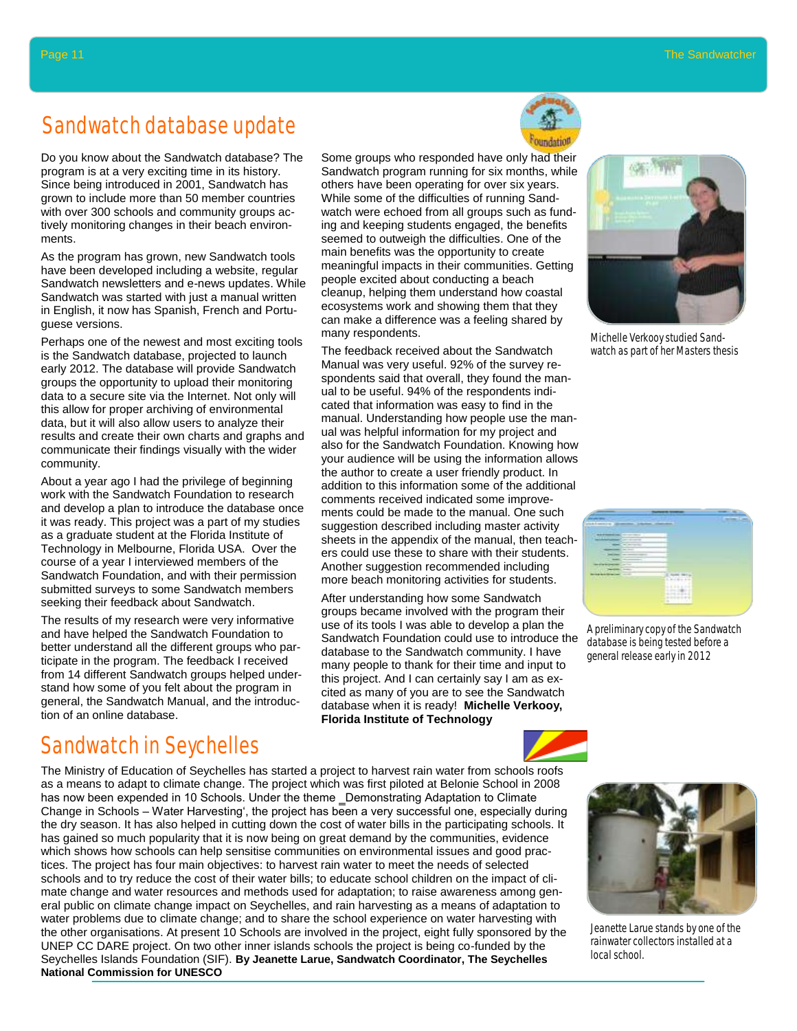## Sandwatch database update

Do you know about the Sandwatch database? The program is at a very exciting time in its history. Since being introduced in 2001, Sandwatch has grown to include more than 50 member countries with over 300 schools and community groups actively monitoring changes in their beach environments.

As the program has grown, new Sandwatch tools have been developed including a website, regular Sandwatch newsletters and e-news updates. While Sandwatch was started with just a manual written in English, it now has Spanish, French and Portuguese versions.

Perhaps one of the newest and most exciting tools is the Sandwatch database, projected to launch early 2012. The database will provide Sandwatch groups the opportunity to upload their monitoring data to a secure site via the Internet. Not only will this allow for proper archiving of environmental data, but it will also allow users to analyze their results and create their own charts and graphs and communicate their findings visually with the wider community.

About a year ago I had the privilege of beginning work with the Sandwatch Foundation to research and develop a plan to introduce the database once it was ready. This project was a part of my studies as a graduate student at the Florida Institute of Technology in Melbourne, Florida USA. Over the course of a year I interviewed members of the Sandwatch Foundation, and with their permission submitted surveys to some Sandwatch members seeking their feedback about Sandwatch.

The results of my research were very informative and have helped the Sandwatch Foundation to better understand all the different groups who participate in the program. The feedback I received from 14 different Sandwatch groups helped understand how some of you felt about the program in general, the Sandwatch Manual, and the introduction of an online database.

## Sandwatch in Seychelles

The Ministry of Education of Seychelles has started a project to harvest rain water from schools roofs as a means to adapt to climate change. The project which was first piloted at Belonie School in 2008 has now been expended in 10 Schools. Under the theme \_Demonstrating Adaptation to Climate Change in Schools – Water Harvesting', the project has been a very successful one, especially during the dry season. It has also helped in cutting down the cost of water bills in the participating schools. It has gained so much popularity that it is now being on great demand by the communities, evidence which shows how schools can help sensitise communities on environmental issues and good practices. The project has four main objectives: to harvest rain water to meet the needs of selected schools and to try reduce the cost of their water bills; to educate school children on the impact of climate change and water resources and methods used for adaptation; to raise awareness among general public on climate change impact on Seychelles, and rain harvesting as a means of adaptation to water problems due to climate change; and to share the school experience on water harvesting with the other organisations. At present 10 Schools are involved in the project, eight fully sponsored by the UNEP CC DARE project. On two other inner islands schools the project is being co-funded by the Seychelles Islands Foundation (SIF). **By Jeanette Larue, Sandwatch Coordinator, The Seychelles National Commission for UNESCO**



The feedback received about the Sandwatch Manual was very useful. 92% of the survey respondents said that overall, they found the manual to be useful. 94% of the respondents indicated that information was easy to find in the manual. Understanding how people use the manual was helpful information for my project and also for the Sandwatch Foundation. Knowing how your audience will be using the information allows the author to create a user friendly product. In addition to this information some of the additional comments received indicated some improvements could be made to the manual. One such suggestion described including master activity sheets in the appendix of the manual, then teachers could use these to share with their students. Another suggestion recommended including more beach monitoring activities for students.

After understanding how some Sandwatch groups became involved with the program their use of its tools I was able to develop a plan the Sandwatch Foundation could use to introduce the database is being tested before a database to the Sandwatch community. I have many people to thank for their time and input to this project. And I can certainly say I am as excited as many of you are to see the Sandwatch database when it is ready! **Michelle Verkooy, Florida Institute of Technology**



Michelle Verkooy studied Sandwatch as part of her Masters thesis



A preliminary copy of the Sandwatch general release early in 2012



Jeanette Larue stands by one of the rainwater collectors installed at a local school.